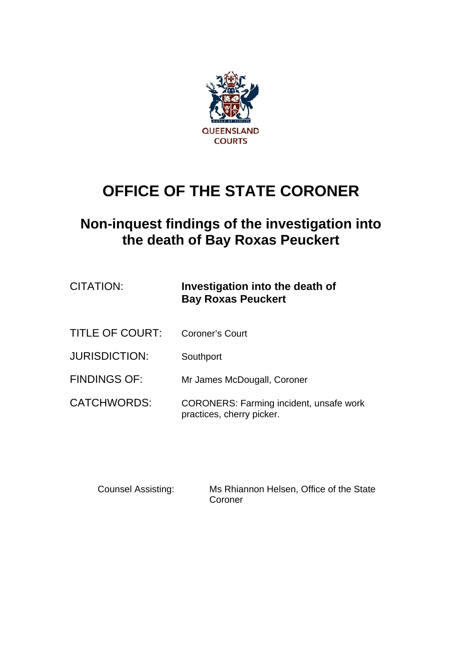

# **OFFICE OF THE STATE CORONER**

## **Non-inquest findings of the investigation into the death of Bay Roxas Peuckert**

| CITATION: | Investigation into the death of |
|-----------|---------------------------------|
|           | <b>Bay Roxas Peuckert</b>       |

- TITLE OF COURT: Coroner's Court
- JURISDICTION: Southport
- FINDINGS OF: Mr James McDougall, Coroner
- CATCHWORDS: CORONERS: Farming incident, unsafe work practices, cherry picker.

Counsel Assisting: Ms Rhiannon Helsen, Office of the State Coroner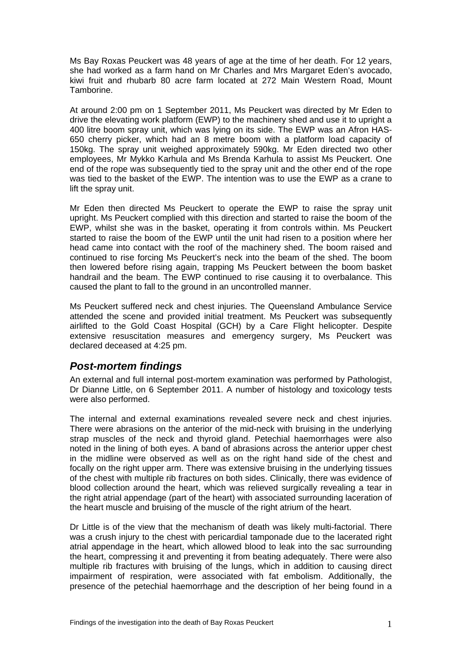Ms Bay Roxas Peuckert was 48 years of age at the time of her death. For 12 years, she had worked as a farm hand on Mr Charles and Mrs Margaret Eden's avocado, kiwi fruit and rhubarb 80 acre farm located at 272 Main Western Road, Mount Tamborine.

At around 2:00 pm on 1 September 2011, Ms Peuckert was directed by Mr Eden to drive the elevating work platform (EWP) to the machinery shed and use it to upright a 400 litre boom spray unit, which was lying on its side. The EWP was an Afron HAS-650 cherry picker, which had an 8 metre boom with a platform load capacity of 150kg. The spray unit weighed approximately 590kg. Mr Eden directed two other employees, Mr Mykko Karhula and Ms Brenda Karhula to assist Ms Peuckert. One end of the rope was subsequently tied to the spray unit and the other end of the rope was tied to the basket of the EWP. The intention was to use the EWP as a crane to lift the spray unit.

Mr Eden then directed Ms Peuckert to operate the EWP to raise the spray unit upright. Ms Peuckert complied with this direction and started to raise the boom of the EWP, whilst she was in the basket, operating it from controls within. Ms Peuckert started to raise the boom of the EWP until the unit had risen to a position where her head came into contact with the roof of the machinery shed. The boom raised and continued to rise forcing Ms Peuckert's neck into the beam of the shed. The boom then lowered before rising again, trapping Ms Peuckert between the boom basket handrail and the beam. The EWP continued to rise causing it to overbalance. This caused the plant to fall to the ground in an uncontrolled manner.

Ms Peuckert suffered neck and chest injuries. The Queensland Ambulance Service attended the scene and provided initial treatment. Ms Peuckert was subsequently airlifted to the Gold Coast Hospital (GCH) by a Care Flight helicopter. Despite extensive resuscitation measures and emergency surgery, Ms Peuckert was declared deceased at 4:25 pm.

## *Post-mortem findings*

An external and full internal post-mortem examination was performed by Pathologist, Dr Dianne Little, on 6 September 2011. A number of histology and toxicology tests were also performed.

The internal and external examinations revealed severe neck and chest injuries. There were abrasions on the anterior of the mid-neck with bruising in the underlying strap muscles of the neck and thyroid gland. Petechial haemorrhages were also noted in the lining of both eyes. A band of abrasions across the anterior upper chest in the midline were observed as well as on the right hand side of the chest and focally on the right upper arm. There was extensive bruising in the underlying tissues of the chest with multiple rib fractures on both sides. Clinically, there was evidence of blood collection around the heart, which was relieved surgically revealing a tear in the right atrial appendage (part of the heart) with associated surrounding laceration of the heart muscle and bruising of the muscle of the right atrium of the heart.

Dr Little is of the view that the mechanism of death was likely multi-factorial. There was a crush injury to the chest with pericardial tamponade due to the lacerated right atrial appendage in the heart, which allowed blood to leak into the sac surrounding the heart, compressing it and preventing it from beating adequately. There were also multiple rib fractures with bruising of the lungs, which in addition to causing direct impairment of respiration, were associated with fat embolism. Additionally, the presence of the petechial haemorrhage and the description of her being found in a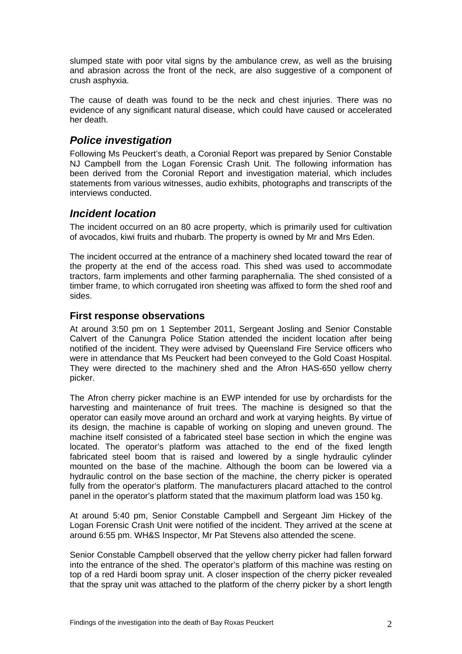slumped state with poor vital signs by the ambulance crew, as well as the bruising and abrasion across the front of the neck, are also suggestive of a component of crush asphyxia.

The cause of death was found to be the neck and chest injuries. There was no evidence of any significant natural disease, which could have caused or accelerated her death.

## *Police investigation*

Following Ms Peuckert's death, a Coronial Report was prepared by Senior Constable NJ Campbell from the Logan Forensic Crash Unit. The following information has been derived from the Coronial Report and investigation material, which includes statements from various witnesses, audio exhibits, photographs and transcripts of the interviews conducted.

## *Incident location*

The incident occurred on an 80 acre property, which is primarily used for cultivation of avocados, kiwi fruits and rhubarb. The property is owned by Mr and Mrs Eden.

The incident occurred at the entrance of a machinery shed located toward the rear of the property at the end of the access road. This shed was used to accommodate tractors, farm implements and other farming paraphernalia. The shed consisted of a timber frame, to which corrugated iron sheeting was affixed to form the shed roof and sides.

## **First response observations**

At around 3:50 pm on 1 September 2011, Sergeant Josling and Senior Constable Calvert of the Canungra Police Station attended the incident location after being notified of the incident. They were advised by Queensland Fire Service officers who were in attendance that Ms Peuckert had been conveyed to the Gold Coast Hospital. They were directed to the machinery shed and the Afron HAS-650 yellow cherry picker.

The Afron cherry picker machine is an EWP intended for use by orchardists for the harvesting and maintenance of fruit trees. The machine is designed so that the operator can easily move around an orchard and work at varying heights. By virtue of its design, the machine is capable of working on sloping and uneven ground. The machine itself consisted of a fabricated steel base section in which the engine was located. The operator's platform was attached to the end of the fixed length fabricated steel boom that is raised and lowered by a single hydraulic cylinder mounted on the base of the machine. Although the boom can be lowered via a hydraulic control on the base section of the machine, the cherry picker is operated fully from the operator's platform. The manufacturers placard attached to the control panel in the operator's platform stated that the maximum platform load was 150 kg.

At around 5:40 pm, Senior Constable Campbell and Sergeant Jim Hickey of the Logan Forensic Crash Unit were notified of the incident. They arrived at the scene at around 6:55 pm. WH&S Inspector, Mr Pat Stevens also attended the scene.

Senior Constable Campbell observed that the yellow cherry picker had fallen forward into the entrance of the shed. The operator's platform of this machine was resting on top of a red Hardi boom spray unit. A closer inspection of the cherry picker revealed that the spray unit was attached to the platform of the cherry picker by a short length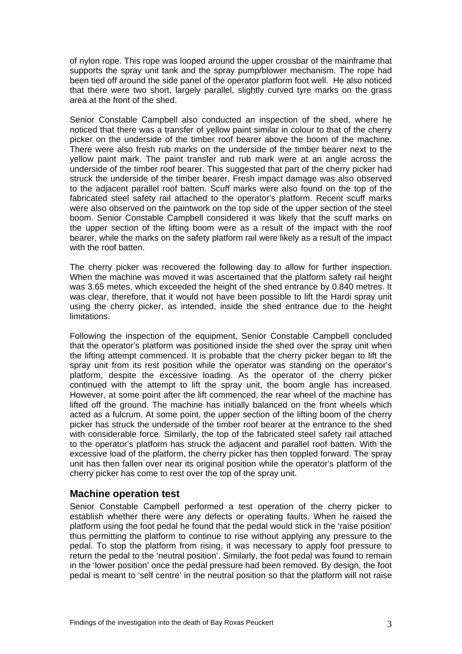of nylon rope. This rope was looped around the upper crossbar of the mainframe that supports the spray unit tank and the spray pump/blower mechanism. The rope had been tied off around the side panel of the operator platform foot well. He also noticed that there were two short, largely parallel, slightly curved tyre marks on the grass area at the front of the shed.

Senior Constable Campbell also conducted an inspection of the shed, where he noticed that there was a transfer of yellow paint similar in colour to that of the cherry picker on the underside of the timber roof bearer above the boom of the machine. There were also fresh rub marks on the underside of the timber bearer next to the yellow paint mark. The paint transfer and rub mark were at an angle across the underside of the timber roof bearer. This suggested that part of the cherry picker had struck the underside of the timber bearer. Fresh impact damage was also observed to the adjacent parallel roof batten. Scuff marks were also found on the top of the fabricated steel safety rail attached to the operator's platform. Recent scuff marks were also observed on the paintwork on the top side of the upper section of the steel boom. Senior Constable Campbell considered it was likely that the scuff marks on the upper section of the lifting boom were as a result of the impact with the roof bearer, while the marks on the safety platform rail were likely as a result of the impact with the roof batten.

The cherry picker was recovered the following day to allow for further inspection. When the machine was moved it was ascertained that the platform safety rail height was 3.65 metes, which exceeded the height of the shed entrance by 0.840 metres. It was clear, therefore, that it would not have been possible to lift the Hardi spray unit using the cherry picker, as intended, inside the shed entrance due to the height limitations.

Following the inspection of the equipment, Senior Constable Campbell concluded that the operator's platform was positioned inside the shed over the spray unit when the lifting attempt commenced. It is probable that the cherry picker began to lift the spray unit from its rest position while the operator was standing on the operator's platform, despite the excessive loading. As the operator of the cherry picker continued with the attempt to lift the spray unit, the boom angle has increased. However, at some point after the lift commenced, the rear wheel of the machine has lifted off the ground. The machine has initially balanced on the front wheels which acted as a fulcrum. At some point, the upper section of the lifting boom of the cherry picker has struck the underside of the timber roof bearer at the entrance to the shed with considerable force. Similarly, the top of the fabricated steel safety rail attached to the operator's platform has struck the adjacent and parallel roof batten. With the excessive load of the platform, the cherry picker has then toppled forward. The spray unit has then fallen over near its original position while the operator's platform of the cherry picker has come to rest over the top of the spray unit.

### **Machine operation test**

Senior Constable Campbell performed a test operation of the cherry picker to establish whether there were any defects or operating faults. When he raised the platform using the foot pedal he found that the pedal would stick in the 'raise position' thus permitting the platform to continue to rise without applying any pressure to the pedal. To stop the platform from rising, it was necessary to apply foot pressure to return the pedal to the 'neutral position'. Similarly, the foot pedal was found to remain in the 'lower position' once the pedal pressure had been removed. By design, the foot pedal is meant to 'self centre' in the neutral position so that the platform will not raise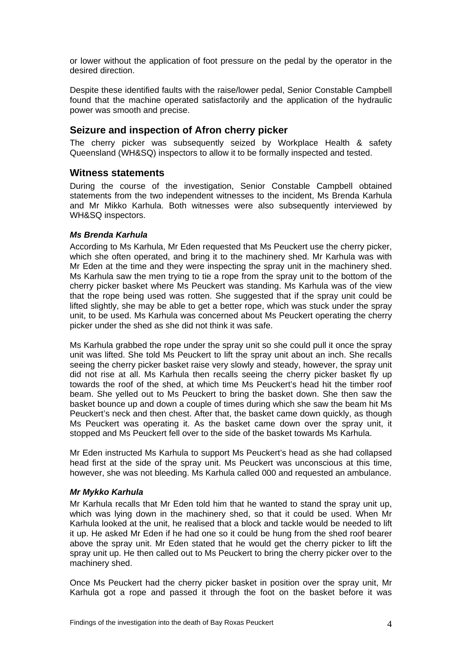or lower without the application of foot pressure on the pedal by the operator in the desired direction.

Despite these identified faults with the raise/lower pedal, Senior Constable Campbell found that the machine operated satisfactorily and the application of the hydraulic power was smooth and precise.

## **Seizure and inspection of Afron cherry picker**

The cherry picker was subsequently seized by Workplace Health & safety Queensland (WH&SQ) inspectors to allow it to be formally inspected and tested.

#### **Witness statements**

During the course of the investigation, Senior Constable Campbell obtained statements from the two independent witnesses to the incident, Ms Brenda Karhula and Mr Mikko Karhula. Both witnesses were also subsequently interviewed by WH&SQ inspectors.

#### *Ms Brenda Karhula*

According to Ms Karhula, Mr Eden requested that Ms Peuckert use the cherry picker, which she often operated, and bring it to the machinery shed. Mr Karhula was with Mr Eden at the time and they were inspecting the spray unit in the machinery shed. Ms Karhula saw the men trying to tie a rope from the spray unit to the bottom of the cherry picker basket where Ms Peuckert was standing. Ms Karhula was of the view that the rope being used was rotten. She suggested that if the spray unit could be lifted slightly, she may be able to get a better rope, which was stuck under the spray unit, to be used. Ms Karhula was concerned about Ms Peuckert operating the cherry picker under the shed as she did not think it was safe.

Ms Karhula grabbed the rope under the spray unit so she could pull it once the spray unit was lifted. She told Ms Peuckert to lift the spray unit about an inch. She recalls seeing the cherry picker basket raise very slowly and steady, however, the spray unit did not rise at all. Ms Karhula then recalls seeing the cherry picker basket fly up towards the roof of the shed, at which time Ms Peuckert's head hit the timber roof beam. She yelled out to Ms Peuckert to bring the basket down. She then saw the basket bounce up and down a couple of times during which she saw the beam hit Ms Peuckert's neck and then chest. After that, the basket came down quickly, as though Ms Peuckert was operating it. As the basket came down over the spray unit, it stopped and Ms Peuckert fell over to the side of the basket towards Ms Karhula.

Mr Eden instructed Ms Karhula to support Ms Peuckert's head as she had collapsed head first at the side of the spray unit. Ms Peuckert was unconscious at this time, however, she was not bleeding. Ms Karhula called 000 and requested an ambulance.

#### *Mr Mykko Karhula*

Mr Karhula recalls that Mr Eden told him that he wanted to stand the spray unit up, which was lying down in the machinery shed, so that it could be used. When Mr Karhula looked at the unit, he realised that a block and tackle would be needed to lift it up. He asked Mr Eden if he had one so it could be hung from the shed roof bearer above the spray unit. Mr Eden stated that he would get the cherry picker to lift the spray unit up. He then called out to Ms Peuckert to bring the cherry picker over to the machinery shed.

Once Ms Peuckert had the cherry picker basket in position over the spray unit, Mr Karhula got a rope and passed it through the foot on the basket before it was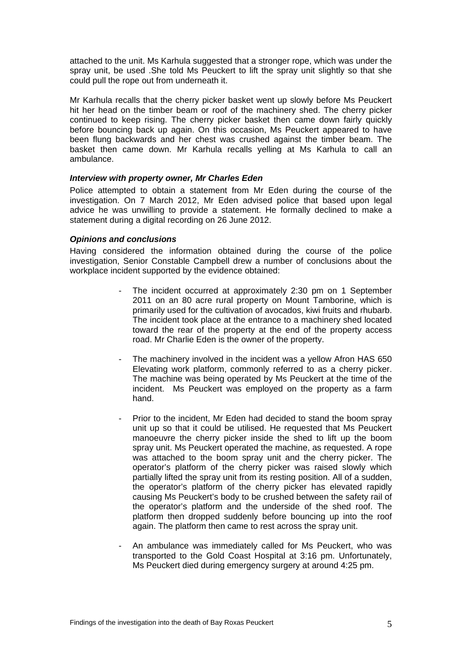attached to the unit. Ms Karhula suggested that a stronger rope, which was under the spray unit, be used .She told Ms Peuckert to lift the spray unit slightly so that she could pull the rope out from underneath it.

Mr Karhula recalls that the cherry picker basket went up slowly before Ms Peuckert hit her head on the timber beam or roof of the machinery shed. The cherry picker continued to keep rising. The cherry picker basket then came down fairly quickly before bouncing back up again. On this occasion, Ms Peuckert appeared to have been flung backwards and her chest was crushed against the timber beam. The basket then came down. Mr Karhula recalls yelling at Ms Karhula to call an ambulance.

#### *Interview with property owner, Mr Charles Eden*

Police attempted to obtain a statement from Mr Eden during the course of the investigation. On 7 March 2012, Mr Eden advised police that based upon legal advice he was unwilling to provide a statement. He formally declined to make a statement during a digital recording on 26 June 2012.

#### *Opinions and conclusions*

Having considered the information obtained during the course of the police investigation, Senior Constable Campbell drew a number of conclusions about the workplace incident supported by the evidence obtained:

- The incident occurred at approximately 2:30 pm on 1 September 2011 on an 80 acre rural property on Mount Tamborine, which is primarily used for the cultivation of avocados, kiwi fruits and rhubarb. The incident took place at the entrance to a machinery shed located toward the rear of the property at the end of the property access road. Mr Charlie Eden is the owner of the property.
- The machinery involved in the incident was a yellow Afron HAS 650 Elevating work platform, commonly referred to as a cherry picker. The machine was being operated by Ms Peuckert at the time of the incident. Ms Peuckert was employed on the property as a farm hand.
- Prior to the incident, Mr Eden had decided to stand the boom spray unit up so that it could be utilised. He requested that Ms Peuckert manoeuvre the cherry picker inside the shed to lift up the boom spray unit. Ms Peuckert operated the machine, as requested. A rope was attached to the boom spray unit and the cherry picker. The operator's platform of the cherry picker was raised slowly which partially lifted the spray unit from its resting position. All of a sudden, the operator's platform of the cherry picker has elevated rapidly causing Ms Peuckert's body to be crushed between the safety rail of the operator's platform and the underside of the shed roof. The platform then dropped suddenly before bouncing up into the roof again. The platform then came to rest across the spray unit.
- An ambulance was immediately called for Ms Peuckert, who was transported to the Gold Coast Hospital at 3:16 pm. Unfortunately, Ms Peuckert died during emergency surgery at around 4:25 pm.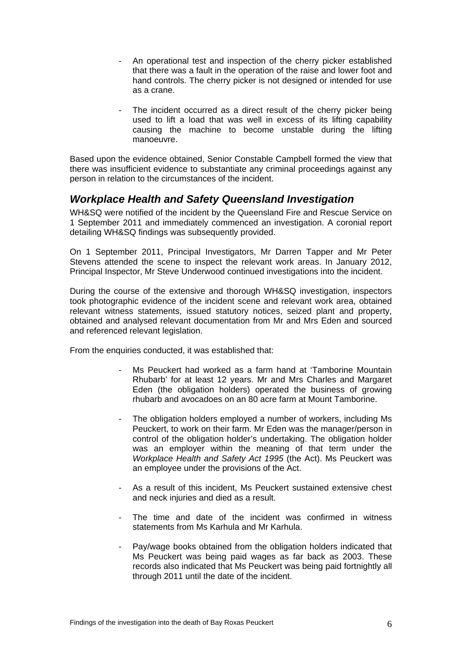- An operational test and inspection of the cherry picker established that there was a fault in the operation of the raise and lower foot and hand controls. The cherry picker is not designed or intended for use as a crane.
- The incident occurred as a direct result of the cherry picker being used to lift a load that was well in excess of its lifting capability causing the machine to become unstable during the lifting manoeuvre.

Based upon the evidence obtained, Senior Constable Campbell formed the view that there was insufficient evidence to substantiate any criminal proceedings against any person in relation to the circumstances of the incident.

## *Workplace Health and Safety Queensland Investigation*

WH&SQ were notified of the incident by the Queensland Fire and Rescue Service on 1 September 2011 and immediately commenced an investigation. A coronial report detailing WH&SQ findings was subsequently provided.

On 1 September 2011, Principal Investigators, Mr Darren Tapper and Mr Peter Stevens attended the scene to inspect the relevant work areas. In January 2012, Principal Inspector, Mr Steve Underwood continued investigations into the incident.

During the course of the extensive and thorough WH&SQ investigation, inspectors took photographic evidence of the incident scene and relevant work area, obtained relevant witness statements, issued statutory notices, seized plant and property, obtained and analysed relevant documentation from Mr and Mrs Eden and sourced and referenced relevant legislation.

From the enquiries conducted, it was established that:

- Ms Peuckert had worked as a farm hand at 'Tamborine Mountain Rhubarb' for at least 12 years. Mr and Mrs Charles and Margaret Eden (the obligation holders) operated the business of growing rhubarb and avocadoes on an 80 acre farm at Mount Tamborine.
- The obligation holders employed a number of workers, including Ms Peuckert, to work on their farm. Mr Eden was the manager/person in control of the obligation holder's undertaking. The obligation holder was an employer within the meaning of that term under the *Workplace Health and Safety Act 1995* (the Act). Ms Peuckert was an employee under the provisions of the Act.
- As a result of this incident, Ms Peuckert sustained extensive chest and neck injuries and died as a result.
- The time and date of the incident was confirmed in witness statements from Ms Karhula and Mr Karhula.
- Pay/wage books obtained from the obligation holders indicated that Ms Peuckert was being paid wages as far back as 2003. These records also indicated that Ms Peuckert was being paid fortnightly all through 2011 until the date of the incident.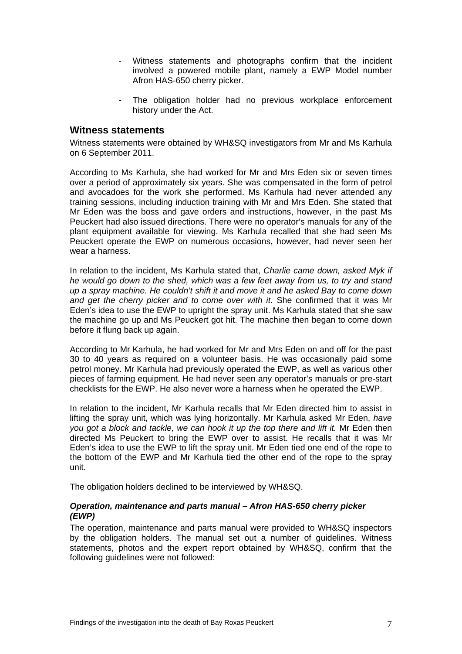- Witness statements and photographs confirm that the incident involved a powered mobile plant, namely a EWP Model number Afron HAS-650 cherry picker.
- The obligation holder had no previous workplace enforcement history under the Act.

#### **Witness statements**

Witness statements were obtained by WH&SQ investigators from Mr and Ms Karhula on 6 September 2011.

According to Ms Karhula, she had worked for Mr and Mrs Eden six or seven times over a period of approximately six years. She was compensated in the form of petrol and avocadoes for the work she performed. Ms Karhula had never attended any training sessions, including induction training with Mr and Mrs Eden. She stated that Mr Eden was the boss and gave orders and instructions, however, in the past Ms Peuckert had also issued directions. There were no operator's manuals for any of the plant equipment available for viewing. Ms Karhula recalled that she had seen Ms Peuckert operate the EWP on numerous occasions, however, had never seen her wear a harness.

In relation to the incident, Ms Karhula stated that, *Charlie came down, asked Myk if he would go down to the shed, which was a few feet away from us, to try and stand up a spray machine. He couldn't shift it and move it and he asked Bay to come down and get the cherry picker and to come over with it.* She confirmed that it was Mr Eden's idea to use the EWP to upright the spray unit. Ms Karhula stated that she saw the machine go up and Ms Peuckert got hit. The machine then began to come down before it flung back up again.

According to Mr Karhula, he had worked for Mr and Mrs Eden on and off for the past 30 to 40 years as required on a volunteer basis. He was occasionally paid some petrol money. Mr Karhula had previously operated the EWP, as well as various other pieces of farming equipment. He had never seen any operator's manuals or pre-start checklists for the EWP. He also never wore a harness when he operated the EWP.

In relation to the incident, Mr Karhula recalls that Mr Eden directed him to assist in lifting the spray unit, which was lying horizontally. Mr Karhula asked Mr Eden, *have you got a block and tackle, we can hook it up the top there and lift it.* Mr Eden then directed Ms Peuckert to bring the EWP over to assist. He recalls that it was Mr Eden's idea to use the EWP to lift the spray unit. Mr Eden tied one end of the rope to the bottom of the EWP and Mr Karhula tied the other end of the rope to the spray unit.

The obligation holders declined to be interviewed by WH&SQ.

#### *Operation, maintenance and parts manual – Afron HAS-650 cherry picker (EWP)*

The operation, maintenance and parts manual were provided to WH&SQ inspectors by the obligation holders. The manual set out a number of guidelines. Witness statements, photos and the expert report obtained by WH&SQ, confirm that the following guidelines were not followed: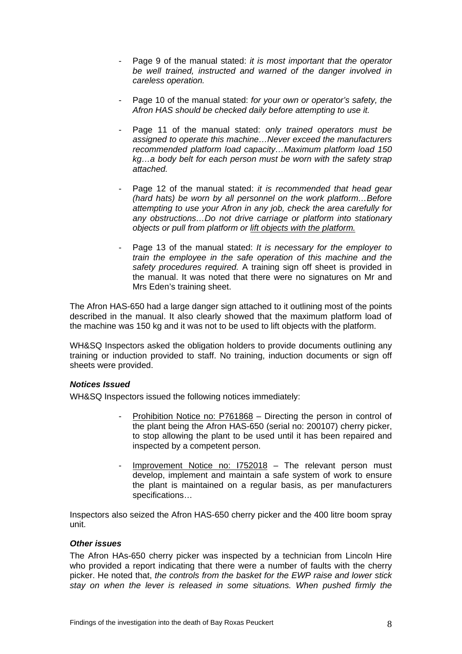- Page 9 of the manual stated: *it is most important that the operator be well trained, instructed and warned of the danger involved in careless operation.*
- Page 10 of the manual stated: *for your own or operator's safety, the Afron HAS should be checked daily before attempting to use it.*
- Page 11 of the manual stated: *only trained operators must be assigned to operate this machine…Never exceed the manufacturers recommended platform load capacity…Maximum platform load 150 kg…a body belt for each person must be worn with the safety strap attached.*
- Page 12 of the manual stated: *it is recommended that head gear (hard hats) be worn by all personnel on the work platform…Before attempting to use your Afron in any job, check the area carefully for any obstructions…Do not drive carriage or platform into stationary objects or pull from platform or lift objects with the platform.*
- Page 13 of the manual stated: *It is necessary for the employer to train the employee in the safe operation of this machine and the safety procedures required.* A training sign off sheet is provided in the manual. It was noted that there were no signatures on Mr and Mrs Eden's training sheet.

The Afron HAS-650 had a large danger sign attached to it outlining most of the points described in the manual. It also clearly showed that the maximum platform load of the machine was 150 kg and it was not to be used to lift objects with the platform.

WH&SQ Inspectors asked the obligation holders to provide documents outlining any training or induction provided to staff. No training, induction documents or sign off sheets were provided.

#### *Notices Issued*

WH&SQ Inspectors issued the following notices immediately:

- Prohibition Notice no: P761868 Directing the person in control of the plant being the Afron HAS-650 (serial no: 200107) cherry picker, to stop allowing the plant to be used until it has been repaired and inspected by a competent person.
- Improvement Notice no:  $1752018 -$  The relevant person must develop, implement and maintain a safe system of work to ensure the plant is maintained on a regular basis, as per manufacturers specifications…

Inspectors also seized the Afron HAS-650 cherry picker and the 400 litre boom spray unit.

#### *Other issues*

The Afron HAs-650 cherry picker was inspected by a technician from Lincoln Hire who provided a report indicating that there were a number of faults with the cherry picker. He noted that, *the controls from the basket for the EWP raise and lower stick stay on when the lever is released in some situations. When pushed firmly the*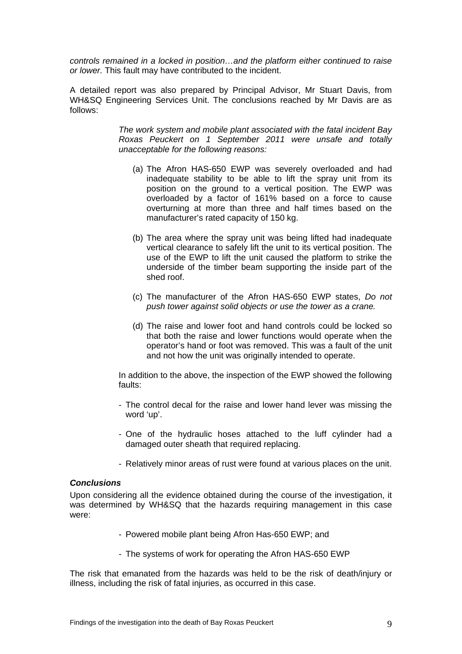*controls remained in a locked in position…and the platform either continued to raise or lower.* This fault may have contributed to the incident.

A detailed report was also prepared by Principal Advisor, Mr Stuart Davis, from WH&SQ Engineering Services Unit. The conclusions reached by Mr Davis are as follows:

> *The work system and mobile plant associated with the fatal incident Bay Roxas Peuckert on 1 September 2011 were unsafe and totally unacceptable for the following reasons:*

- (a) The Afron HAS-650 EWP was severely overloaded and had inadequate stability to be able to lift the spray unit from its position on the ground to a vertical position. The EWP was overloaded by a factor of 161% based on a force to cause overturning at more than three and half times based on the manufacturer's rated capacity of 150 kg.
- (b) The area where the spray unit was being lifted had inadequate vertical clearance to safely lift the unit to its vertical position. The use of the EWP to lift the unit caused the platform to strike the underside of the timber beam supporting the inside part of the shed roof.
- (c) The manufacturer of the Afron HAS-650 EWP states, *Do not push tower against solid objects or use the tower as a crane.*
- (d) The raise and lower foot and hand controls could be locked so that both the raise and lower functions would operate when the operator's hand or foot was removed. This was a fault of the unit and not how the unit was originally intended to operate.

In addition to the above, the inspection of the EWP showed the following faults:

- The control decal for the raise and lower hand lever was missing the word 'up'.
- One of the hydraulic hoses attached to the luff cylinder had a damaged outer sheath that required replacing.
- Relatively minor areas of rust were found at various places on the unit.

#### *Conclusions*

Upon considering all the evidence obtained during the course of the investigation, it was determined by WH&SQ that the hazards requiring management in this case were:

- Powered mobile plant being Afron Has-650 EWP; and
- The systems of work for operating the Afron HAS-650 EWP

The risk that emanated from the hazards was held to be the risk of death/injury or illness, including the risk of fatal injuries, as occurred in this case.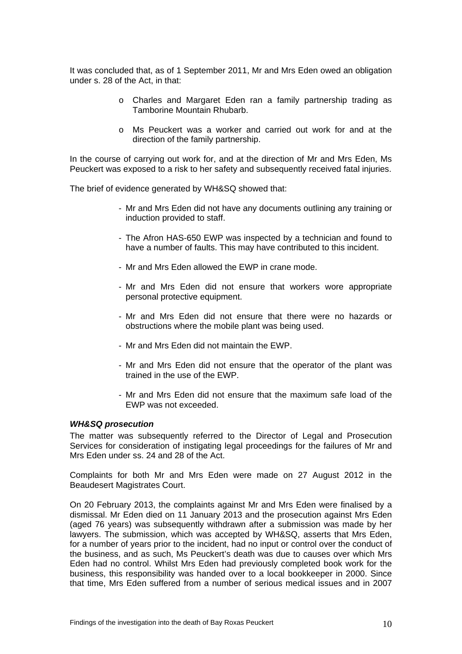It was concluded that, as of 1 September 2011, Mr and Mrs Eden owed an obligation under s. 28 of the Act, in that:

- o Charles and Margaret Eden ran a family partnership trading as Tamborine Mountain Rhubarb.
- o Ms Peuckert was a worker and carried out work for and at the direction of the family partnership.

In the course of carrying out work for, and at the direction of Mr and Mrs Eden, Ms Peuckert was exposed to a risk to her safety and subsequently received fatal injuries.

The brief of evidence generated by WH&SQ showed that:

- Mr and Mrs Eden did not have any documents outlining any training or induction provided to staff.
- The Afron HAS-650 EWP was inspected by a technician and found to have a number of faults. This may have contributed to this incident.
- Mr and Mrs Eden allowed the EWP in crane mode.
- Mr and Mrs Eden did not ensure that workers wore appropriate personal protective equipment.
- Mr and Mrs Eden did not ensure that there were no hazards or obstructions where the mobile plant was being used.
- Mr and Mrs Eden did not maintain the EWP.
- Mr and Mrs Eden did not ensure that the operator of the plant was trained in the use of the EWP.
- Mr and Mrs Eden did not ensure that the maximum safe load of the EWP was not exceeded.

#### *WH&SQ prosecution*

The matter was subsequently referred to the Director of Legal and Prosecution Services for consideration of instigating legal proceedings for the failures of Mr and Mrs Eden under ss. 24 and 28 of the Act.

Complaints for both Mr and Mrs Eden were made on 27 August 2012 in the Beaudesert Magistrates Court.

On 20 February 2013, the complaints against Mr and Mrs Eden were finalised by a dismissal. Mr Eden died on 11 January 2013 and the prosecution against Mrs Eden (aged 76 years) was subsequently withdrawn after a submission was made by her lawyers. The submission, which was accepted by WH&SQ, asserts that Mrs Eden, for a number of years prior to the incident, had no input or control over the conduct of the business, and as such, Ms Peuckert's death was due to causes over which Mrs Eden had no control. Whilst Mrs Eden had previously completed book work for the business, this responsibility was handed over to a local bookkeeper in 2000. Since that time, Mrs Eden suffered from a number of serious medical issues and in 2007